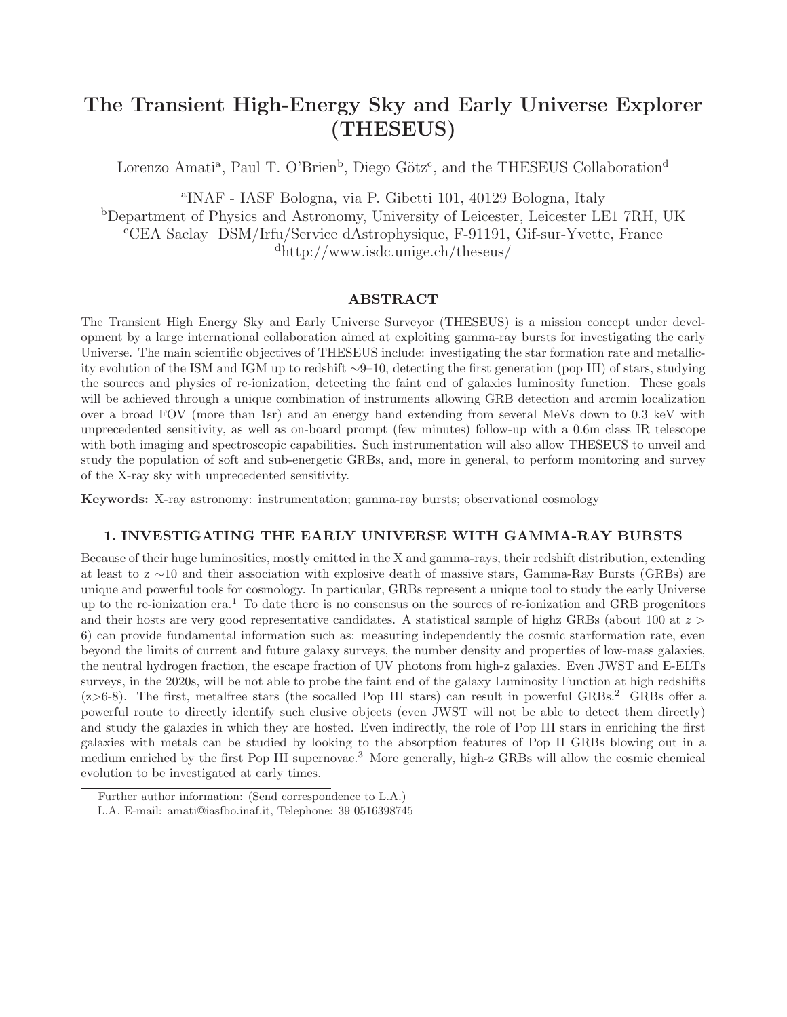# The Transient High-Energy Sky and Early Universe Explorer (THESEUS)

Lorenzo Amati<sup>a</sup>, Paul T. O'Brien<sup>b</sup>, Diego Götz<sup>c</sup>, and the THESEUS Collaboration<sup>d</sup>

a INAF - IASF Bologna, via P. Gibetti 101, 40129 Bologna, Italy <sup>b</sup>Department of Physics and Astronomy, University of Leicester, Leicester LE1 7RH, UK <sup>c</sup>CEA Saclay DSM/Irfu/Service dAstrophysique, F-91191, Gif-sur-Yvette, France

<sup>d</sup>http://www.isdc.unige.ch/theseus/

# ABSTRACT

The Transient High Energy Sky and Early Universe Surveyor (THESEUS) is a mission concept under development by a large international collaboration aimed at exploiting gamma-ray bursts for investigating the early Universe. The main scientific objectives of THESEUS include: investigating the star formation rate and metallicity evolution of the ISM and IGM up to redshift ∼9–10, detecting the first generation (pop III) of stars, studying the sources and physics of re-ionization, detecting the faint end of galaxies luminosity function. These goals will be achieved through a unique combination of instruments allowing GRB detection and arcmin localization over a broad FOV (more than 1sr) and an energy band extending from several MeVs down to 0.3 keV with unprecedented sensitivity, as well as on-board prompt (few minutes) follow-up with a 0.6m class IR telescope with both imaging and spectroscopic capabilities. Such instrumentation will also allow THESEUS to unveil and study the population of soft and sub-energetic GRBs, and, more in general, to perform monitoring and survey of the X-ray sky with unprecedented sensitivity.

Keywords: X-ray astronomy: instrumentation; gamma-ray bursts; observational cosmology

# 1. INVESTIGATING THE EARLY UNIVERSE WITH GAMMA-RAY BURSTS

Because of their huge luminosities, mostly emitted in the X and gamma-rays, their redshift distribution, extending at least to z ∼10 and their association with explosive death of massive stars, Gamma-Ray Bursts (GRBs) are unique and powerful tools for cosmology. In particular, GRBs represent a unique tool to study the early Universe up to the re-ionization era.<sup>1</sup> To date there is no consensus on the sources of re-ionization and GRB progenitors and their hosts are very good representative candidates. A statistical sample of highz GRBs (about 100 at  $z >$ 6) can provide fundamental information such as: measuring independently the cosmic starformation rate, even beyond the limits of current and future galaxy surveys, the number density and properties of low-mass galaxies, the neutral hydrogen fraction, the escape fraction of UV photons from high-z galaxies. Even JWST and E-ELTs surveys, in the 2020s, will be not able to probe the faint end of the galaxy Luminosity Function at high redshifts  $(z>6-8)$ . The first, metalfree stars (the socalled Pop III stars) can result in powerful GRBs.<sup>2</sup> GRBs offer a powerful route to directly identify such elusive objects (even JWST will not be able to detect them directly) and study the galaxies in which they are hosted. Even indirectly, the role of Pop III stars in enriching the first galaxies with metals can be studied by looking to the absorption features of Pop II GRBs blowing out in a medium enriched by the first Pop III supernovae.<sup>3</sup> More generally, high-z GRBs will allow the cosmic chemical evolution to be investigated at early times.

Further author information: (Send correspondence to L.A.)

L.A. E-mail: amati@iasfbo.inaf.it, Telephone: 39 0516398745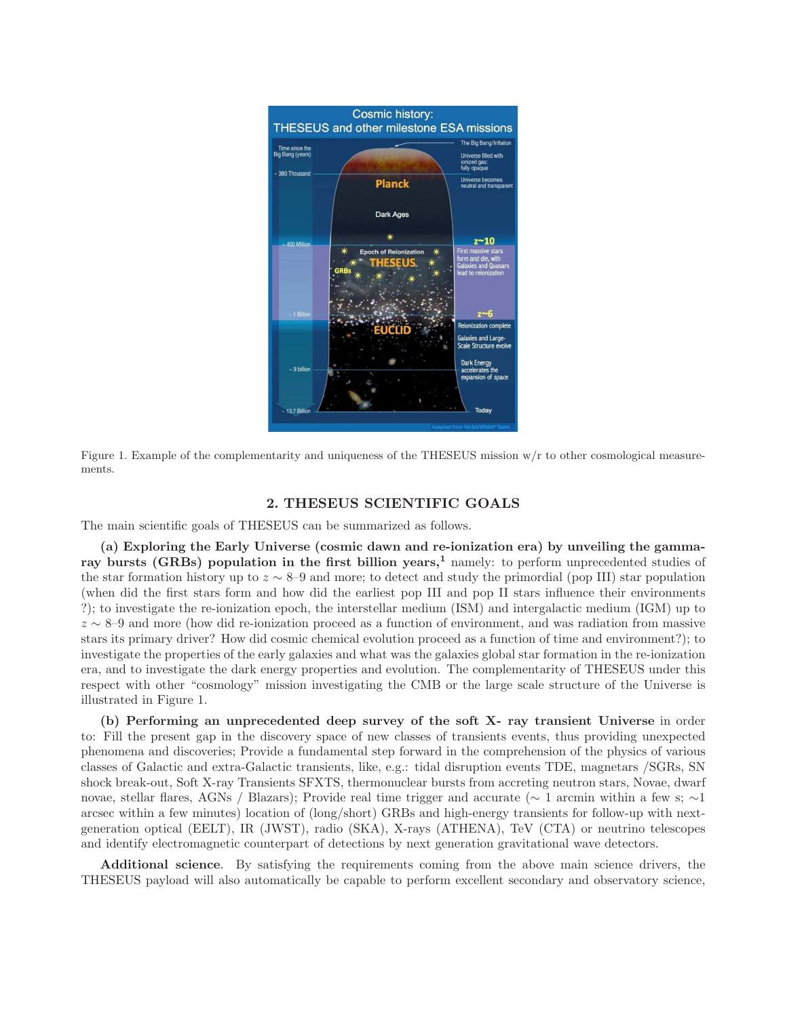

Figure 1. Example of the complementarity and uniqueness of the THESEUS mission  $w/r$  to other cosmological measurements.

#### 2. THESEUS SCIENTIFIC GOALS

The main scientific goals of THESEUS can be summarized as follows.

(a) Exploring the Early Universe (cosmic dawn and re-ionization era) by unveiling the gammaray bursts (GRBs) population in the first billion years,<sup>1</sup> namely: to perform unprecedented studies of the star formation history up to  $z \sim 8$ –9 and more; to detect and study the primordial (pop III) star population (when did the first stars form and how did the earliest pop III and pop II stars influence their environments ?); to investigate the re-ionization epoch, the interstellar medium (ISM) and intergalactic medium (IGM) up to z ∼ 8–9 and more (how did re-ionization proceed as a function of environment, and was radiation from massive stars its primary driver? How did cosmic chemical evolution proceed as a function of time and environment?); to investigate the properties of the early galaxies and what was the galaxies global star formation in the re-ionization era, and to investigate the dark energy properties and evolution. The complementarity of THESEUS under this respect with other "cosmology" mission investigating the CMB or the large scale structure of the Universe is illustrated in Figure 1.

(b) Performing an unprecedented deep survey of the soft X- ray transient Universe in order to: Fill the present gap in the discovery space of new classes of transients events, thus providing unexpected phenomena and discoveries; Provide a fundamental step forward in the comprehension of the physics of various classes of Galactic and extra-Galactic transients, like, e.g.: tidal disruption events TDE, magnetars /SGRs, SN shock break-out, Soft X-ray Transients SFXTS, thermonuclear bursts from accreting neutron stars, Novae, dwarf novae, stellar flares, AGNs / Blazars); Provide real time trigger and accurate (∼ 1 arcmin within a few s; ∼1 arcsec within a few minutes) location of (long/short) GRBs and high-energy transients for follow-up with nextgeneration optical (EELT), IR (JWST), radio (SKA), X-rays (ATHENA), TeV (CTA) or neutrino telescopes and identify electromagnetic counterpart of detections by next generation gravitational wave detectors.

Additional science. By satisfying the requirements coming from the above main science drivers, the THESEUS payload will also automatically be capable to perform excellent secondary and observatory science,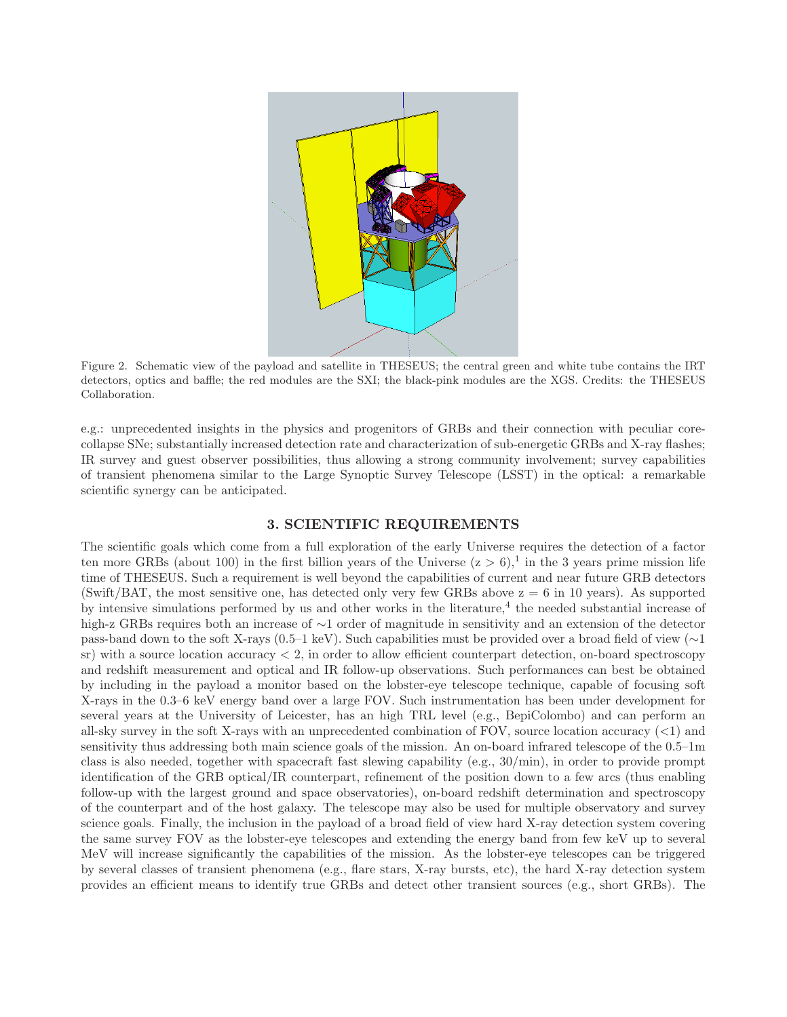

Figure 2. Schematic view of the payload and satellite in THESEUS; the central green and white tube contains the IRT detectors, optics and baffle; the red modules are the SXI; the black-pink modules are the XGS. Credits: the THESEUS Collaboration.

e.g.: unprecedented insights in the physics and progenitors of GRBs and their connection with peculiar corecollapse SNe; substantially increased detection rate and characterization of sub-energetic GRBs and X-ray flashes; IR survey and guest observer possibilities, thus allowing a strong community involvement; survey capabilities of transient phenomena similar to the Large Synoptic Survey Telescope (LSST) in the optical: a remarkable scientific synergy can be anticipated.

# 3. SCIENTIFIC REQUIREMENTS

The scientific goals which come from a full exploration of the early Universe requires the detection of a factor ten more GRBs (about 100) in the first billion years of the Universe  $(z > 6)$ ,<sup>1</sup> in the 3 years prime mission life time of THESEUS. Such a requirement is well beyond the capabilities of current and near future GRB detectors (Swift/BAT, the most sensitive one, has detected only very few GRBs above  $z = 6$  in 10 years). As supported by intensive simulations performed by us and other works in the literature,<sup>4</sup> the needed substantial increase of high-z GRBs requires both an increase of ∼1 order of magnitude in sensitivity and an extension of the detector pass-band down to the soft X-rays (0.5–1 keV). Such capabilities must be provided over a broad field of view (∼1  $\text{sr}$ ) with a source location accuracy  $\lt 2$ , in order to allow efficient counterpart detection, on-board spectroscopy and redshift measurement and optical and IR follow-up observations. Such performances can best be obtained by including in the payload a monitor based on the lobster-eye telescope technique, capable of focusing soft X-rays in the 0.3–6 keV energy band over a large FOV. Such instrumentation has been under development for several years at the University of Leicester, has an high TRL level (e.g., BepiColombo) and can perform an all-sky survey in the soft X-rays with an unprecedented combination of FOV, source location accuracy (<1) and sensitivity thus addressing both main science goals of the mission. An on-board infrared telescope of the 0.5–1m class is also needed, together with spacecraft fast slewing capability (e.g., 30/min), in order to provide prompt identification of the GRB optical/IR counterpart, refinement of the position down to a few arcs (thus enabling follow-up with the largest ground and space observatories), on-board redshift determination and spectroscopy of the counterpart and of the host galaxy. The telescope may also be used for multiple observatory and survey science goals. Finally, the inclusion in the payload of a broad field of view hard X-ray detection system covering the same survey FOV as the lobster-eye telescopes and extending the energy band from few keV up to several MeV will increase significantly the capabilities of the mission. As the lobster-eye telescopes can be triggered by several classes of transient phenomena (e.g., flare stars, X-ray bursts, etc), the hard X-ray detection system provides an efficient means to identify true GRBs and detect other transient sources (e.g., short GRBs). The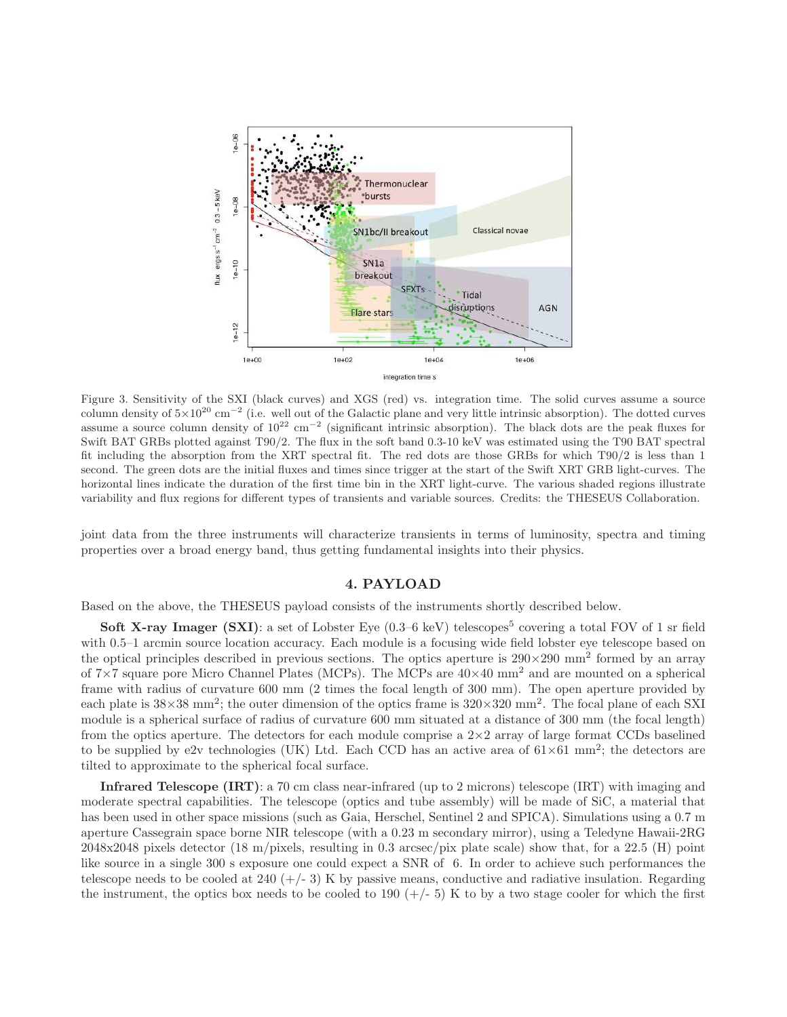

Figure 3. Sensitivity of the SXI (black curves) and XGS (red) vs. integration time. The solid curves assume a source column density of  $5\times10^{20}$  cm<sup>-2</sup> (i.e. well out of the Galactic plane and very little intrinsic absorption). The dotted curves assume a source column density of  $10^{22}$  cm<sup>-2</sup> (significant intrinsic absorption). The black dots are the peak fluxes for Swift BAT GRBs plotted against T90/2. The flux in the soft band 0.3-10 keV was estimated using the T90 BAT spectral fit including the absorption from the XRT spectral fit. The red dots are those GRBs for which T90/2 is less than 1 second. The green dots are the initial fluxes and times since trigger at the start of the Swift XRT GRB light-curves. The horizontal lines indicate the duration of the first time bin in the XRT light-curve. The various shaded regions illustrate variability and flux regions for different types of transients and variable sources. Credits: the THESEUS Collaboration.

joint data from the three instruments will characterize transients in terms of luminosity, spectra and timing properties over a broad energy band, thus getting fundamental insights into their physics.

#### 4. PAYLOAD

Based on the above, the THESEUS payload consists of the instruments shortly described below.

**Soft X-ray Imager (SXI)**: a set of Lobster Eye  $(0.3-6 \text{ keV})$  telescopes<sup>5</sup> covering a total FOV of 1 sr field with 0.5–1 arcmin source location accuracy. Each module is a focusing wide field lobster eye telescope based on the optical principles described in previous sections. The optics aperture is  $290\times290$  mm<sup>2</sup> formed by an array of  $7\times7$  square pore Micro Channel Plates (MCPs). The MCPs are  $40\times40$  mm<sup>2</sup> and are mounted on a spherical frame with radius of curvature 600 mm (2 times the focal length of 300 mm). The open aperture provided by each plate is  $38\times38$  mm<sup>2</sup>; the outer dimension of the optics frame is  $320\times320$  mm<sup>2</sup>. The focal plane of each SXI module is a spherical surface of radius of curvature 600 mm situated at a distance of 300 mm (the focal length) from the optics aperture. The detectors for each module comprise a  $2\times 2$  array of large format CCDs baselined to be supplied by e2v technologies (UK) Ltd. Each CCD has an active area of  $61\times61$  mm<sup>2</sup>; the detectors are tilted to approximate to the spherical focal surface.

Infrared Telescope (IRT): a 70 cm class near-infrared (up to 2 microns) telescope (IRT) with imaging and moderate spectral capabilities. The telescope (optics and tube assembly) will be made of SiC, a material that has been used in other space missions (such as Gaia, Herschel, Sentinel 2 and SPICA). Simulations using a 0.7 m aperture Cassegrain space borne NIR telescope (with a 0.23 m secondary mirror), using a Teledyne Hawaii-2RG 2048x2048 pixels detector (18 m/pixels, resulting in 0.3 arcsec/pix plate scale) show that, for a 22.5 (H) point like source in a single 300 s exposure one could expect a SNR of 6. In order to achieve such performances the telescope needs to be cooled at  $240 (+/- 3)$  K by passive means, conductive and radiative insulation. Regarding the instrument, the optics box needs to be cooled to 190  $(+/- 5)$  K to by a two stage cooler for which the first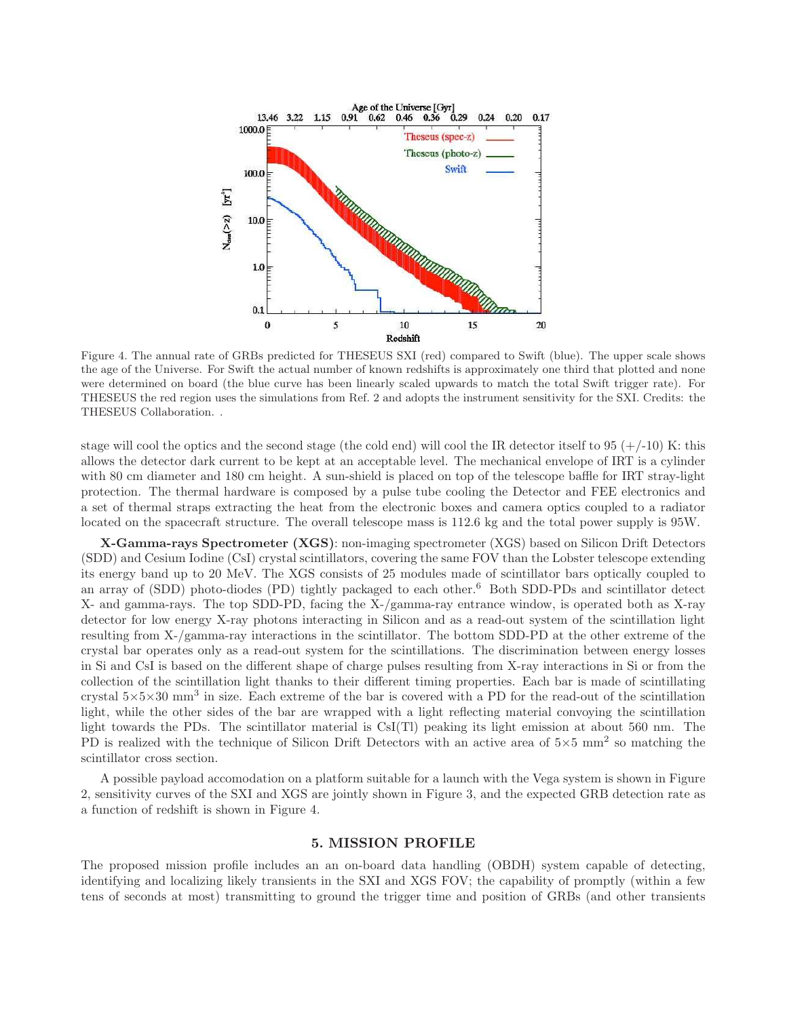

Figure 4. The annual rate of GRBs predicted for THESEUS SXI (red) compared to Swift (blue). The upper scale shows the age of the Universe. For Swift the actual number of known redshifts is approximately one third that plotted and none were determined on board (the blue curve has been linearly scaled upwards to match the total Swift trigger rate). For THESEUS the red region uses the simulations from Ref. 2 and adopts the instrument sensitivity for the SXI. Credits: the THESEUS Collaboration. .

stage will cool the optics and the second stage (the cold end) will cool the IR detector itself to 95  $(+/-10)$  K: this allows the detector dark current to be kept at an acceptable level. The mechanical envelope of IRT is a cylinder with 80 cm diameter and 180 cm height. A sun-shield is placed on top of the telescope baffle for IRT stray-light protection. The thermal hardware is composed by a pulse tube cooling the Detector and FEE electronics and a set of thermal straps extracting the heat from the electronic boxes and camera optics coupled to a radiator located on the spacecraft structure. The overall telescope mass is 112.6 kg and the total power supply is 95W.

X-Gamma-rays Spectrometer (XGS): non-imaging spectrometer (XGS) based on Silicon Drift Detectors (SDD) and Cesium Iodine (CsI) crystal scintillators, covering the same FOV than the Lobster telescope extending its energy band up to 20 MeV. The XGS consists of 25 modules made of scintillator bars optically coupled to an array of (SDD) photo-diodes (PD) tightly packaged to each other.<sup>6</sup> Both SDD-PDs and scintillator detect X- and gamma-rays. The top SDD-PD, facing the X-/gamma-ray entrance window, is operated both as X-ray detector for low energy X-ray photons interacting in Silicon and as a read-out system of the scintillation light resulting from X-/gamma-ray interactions in the scintillator. The bottom SDD-PD at the other extreme of the crystal bar operates only as a read-out system for the scintillations. The discrimination between energy losses in Si and CsI is based on the different shape of charge pulses resulting from X-ray interactions in Si or from the collection of the scintillation light thanks to their different timing properties. Each bar is made of scintillating crystal 5×5×30 mm<sup>3</sup> in size. Each extreme of the bar is covered with a PD for the read-out of the scintillation light, while the other sides of the bar are wrapped with a light reflecting material convoying the scintillation light towards the PDs. The scintillator material is CsI(Tl) peaking its light emission at about 560 nm. The PD is realized with the technique of Silicon Drift Detectors with an active area of  $5\times 5$  mm<sup>2</sup> so matching the scintillator cross section.

A possible payload accomodation on a platform suitable for a launch with the Vega system is shown in Figure 2, sensitivity curves of the SXI and XGS are jointly shown in Figure 3, and the expected GRB detection rate as a function of redshift is shown in Figure 4.

#### 5. MISSION PROFILE

The proposed mission profile includes an an on-board data handling (OBDH) system capable of detecting, identifying and localizing likely transients in the SXI and XGS FOV; the capability of promptly (within a few tens of seconds at most) transmitting to ground the trigger time and position of GRBs (and other transients